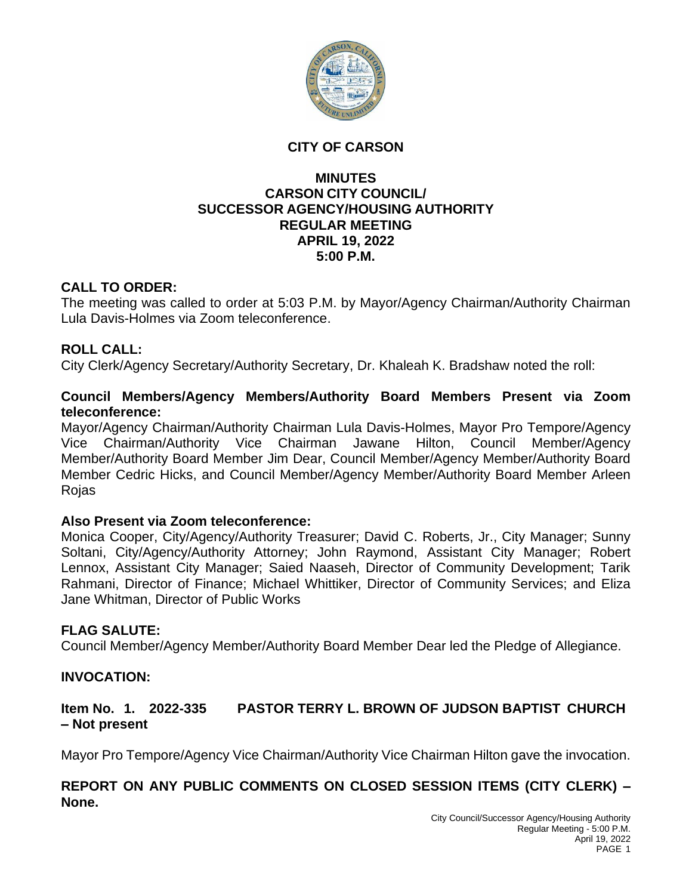

#### **CITY OF CARSON**

#### **MINUTES CARSON CITY COUNCIL/ SUCCESSOR AGENCY/HOUSING AUTHORITY REGULAR MEETING APRIL 19, 2022 5:00 P.M.**

## **CALL TO ORDER:**

The meeting was called to order at 5:03 P.M. by Mayor/Agency Chairman/Authority Chairman Lula Davis-Holmes via Zoom teleconference.

# **ROLL CALL:**

City Clerk/Agency Secretary/Authority Secretary, Dr. Khaleah K. Bradshaw noted the roll:

#### **Council Members/Agency Members/Authority Board Members Present via Zoom teleconference:**

Mayor/Agency Chairman/Authority Chairman Lula Davis-Holmes, Mayor Pro Tempore/Agency Vice Chairman/Authority Vice Chairman Jawane Hilton, Council Member/Agency Member/Authority Board Member Jim Dear, Council Member/Agency Member/Authority Board Member Cedric Hicks, and Council Member/Agency Member/Authority Board Member Arleen Rojas

# **Also Present via Zoom teleconference:**

Monica Cooper, City/Agency/Authority Treasurer; David C. Roberts, Jr., City Manager; Sunny Soltani, City/Agency/Authority Attorney; John Raymond, Assistant City Manager; Robert Lennox, Assistant City Manager; Saied Naaseh, Director of Community Development; Tarik Rahmani, Director of Finance; Michael Whittiker, Director of Community Services; and Eliza Jane Whitman, Director of Public Works

# **FLAG SALUTE:**

Council Member/Agency Member/Authority Board Member Dear led the Pledge of Allegiance.

#### **INVOCATION:**

# **Item No. 1. 2022-335 PASTOR TERRY L. BROWN OF JUDSON BAPTIST CHURCH – Not present**

Mayor Pro Tempore/Agency Vice Chairman/Authority Vice Chairman Hilton gave the invocation.

## **REPORT ON ANY PUBLIC COMMENTS ON CLOSED SESSION ITEMS (CITY CLERK) – None.**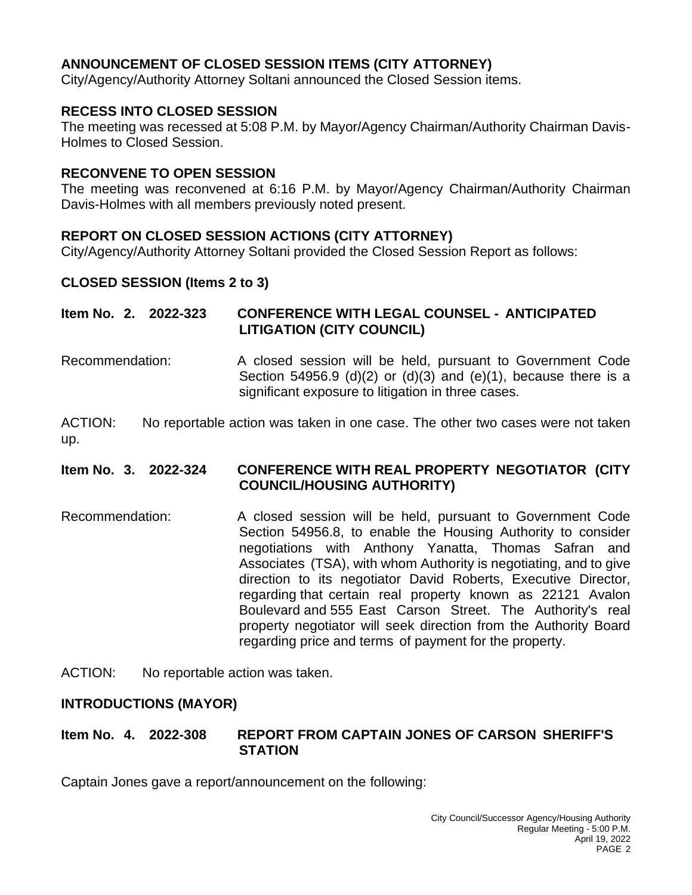# **ANNOUNCEMENT OF CLOSED SESSION ITEMS (CITY ATTORNEY)**

City/Agency/Authority Attorney Soltani announced the Closed Session items.

## **RECESS INTO CLOSED SESSION**

The meeting was recessed at 5:08 P.M. by Mayor/Agency Chairman/Authority Chairman Davis-Holmes to Closed Session.

#### **RECONVENE TO OPEN SESSION**

The meeting was reconvened at 6:16 P.M. by Mayor/Agency Chairman/Authority Chairman Davis-Holmes with all members previously noted present.

## **REPORT ON CLOSED SESSION ACTIONS (CITY ATTORNEY)**

City/Agency/Authority Attorney Soltani provided the Closed Session Report as follows:

## **CLOSED SESSION (Items 2 to 3)**

# **Item No. 2. 2022-323 CONFERENCE WITH LEGAL COUNSEL - ANTICIPATED LITIGATION (CITY COUNCIL)**

Recommendation: A closed session will be held, pursuant to Government Code Section 54956.9 (d) $(2)$  or  $(d)(3)$  and  $(e)(1)$ , because there is a significant exposure to litigation in three cases.

ACTION: No reportable action was taken in one case. The other two cases were not taken up.

## **Item No. 3. 2022-324 CONFERENCE WITH REAL PROPERTY NEGOTIATOR (CITY COUNCIL/HOUSING AUTHORITY)**

Recommendation: A closed session will be held, pursuant to Government Code Section 54956.8, to enable the Housing Authority to consider negotiations with Anthony Yanatta, Thomas Safran and Associates (TSA), with whom Authority is negotiating, and to give direction to its negotiator David Roberts, Executive Director, regarding that certain real property known as 22121 Avalon Boulevard and 555 East Carson Street. The Authority's real property negotiator will seek direction from the Authority Board regarding price and terms of payment for the property.

ACTION: No reportable action was taken.

#### **INTRODUCTIONS (MAYOR)**

#### **Item No. 4. 2022-308 REPORT FROM CAPTAIN JONES OF CARSON SHERIFF'S STATION**

Captain Jones gave a report/announcement on the following: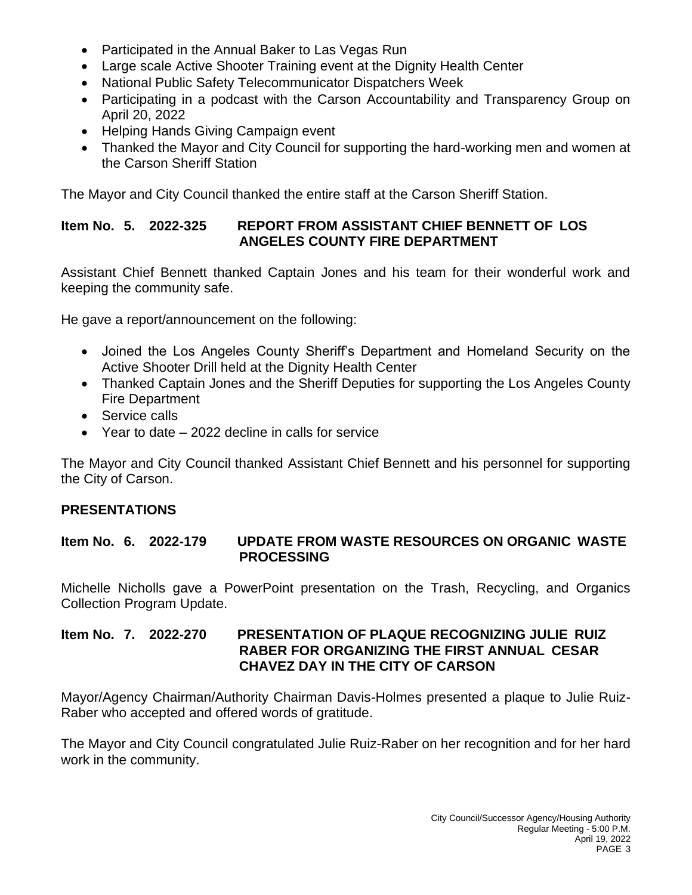- Participated in the Annual Baker to Las Vegas Run
- Large scale Active Shooter Training event at the Dignity Health Center
- National Public Safety Telecommunicator Dispatchers Week
- Participating in a podcast with the Carson Accountability and Transparency Group on April 20, 2022
- Helping Hands Giving Campaign event
- Thanked the Mayor and City Council for supporting the hard-working men and women at the Carson Sheriff Station

The Mayor and City Council thanked the entire staff at the Carson Sheriff Station.

# **Item No. 5. 2022-325 REPORT FROM ASSISTANT CHIEF BENNETT OF LOS ANGELES COUNTY FIRE DEPARTMENT**

Assistant Chief Bennett thanked Captain Jones and his team for their wonderful work and keeping the community safe.

He gave a report/announcement on the following:

- Joined the Los Angeles County Sheriff's Department and Homeland Security on the Active Shooter Drill held at the Dignity Health Center
- Thanked Captain Jones and the Sheriff Deputies for supporting the Los Angeles County Fire Department
- Service calls
- Year to date 2022 decline in calls for service

The Mayor and City Council thanked Assistant Chief Bennett and his personnel for supporting the City of Carson.

# **PRESENTATIONS**

**Item No. 6. 2022-179 UPDATE FROM WASTE RESOURCES ON ORGANIC WASTE PROCESSING**

Michelle Nicholls gave a PowerPoint presentation on the Trash, Recycling, and Organics Collection Program Update.

## **Item No. 7. 2022-270 PRESENTATION OF PLAQUE RECOGNIZING JULIE RUIZ RABER FOR ORGANIZING THE FIRST ANNUAL CESAR CHAVEZ DAY IN THE CITY OF CARSON**

Mayor/Agency Chairman/Authority Chairman Davis-Holmes presented a plaque to Julie Ruiz-Raber who accepted and offered words of gratitude.

The Mayor and City Council congratulated Julie Ruiz-Raber on her recognition and for her hard work in the community.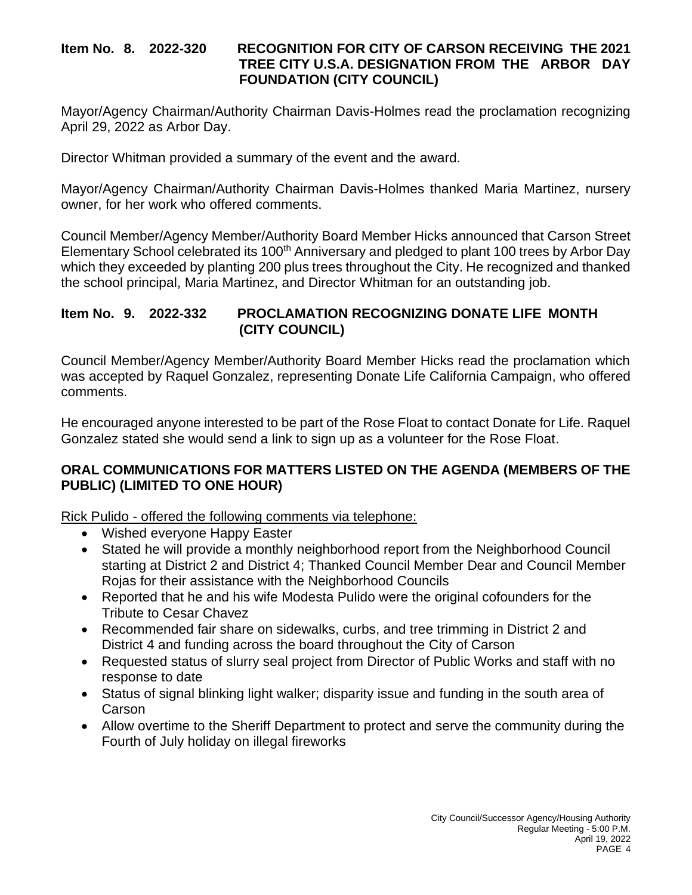## **Item No. 8. 2022-320 RECOGNITION FOR CITY OF CARSON RECEIVING THE 2021 TREE CITY U.S.A. DESIGNATION FROM THE ARBOR DAY FOUNDATION (CITY COUNCIL)**

Mayor/Agency Chairman/Authority Chairman Davis-Holmes read the proclamation recognizing April 29, 2022 as Arbor Day.

Director Whitman provided a summary of the event and the award.

Mayor/Agency Chairman/Authority Chairman Davis-Holmes thanked Maria Martinez, nursery owner, for her work who offered comments.

Council Member/Agency Member/Authority Board Member Hicks announced that Carson Street Elementary School celebrated its 100<sup>th</sup> Anniversary and pledged to plant 100 trees by Arbor Day which they exceeded by planting 200 plus trees throughout the City. He recognized and thanked the school principal, Maria Martinez, and Director Whitman for an outstanding job.

# **Item No. 9. 2022-332 PROCLAMATION RECOGNIZING DONATE LIFE MONTH (CITY COUNCIL)**

Council Member/Agency Member/Authority Board Member Hicks read the proclamation which was accepted by Raquel Gonzalez, representing Donate Life California Campaign, who offered comments.

He encouraged anyone interested to be part of the Rose Float to contact Donate for Life. Raquel Gonzalez stated she would send a link to sign up as a volunteer for the Rose Float.

## **ORAL COMMUNICATIONS FOR MATTERS LISTED ON THE AGENDA (MEMBERS OF THE PUBLIC) (LIMITED TO ONE HOUR)**

Rick Pulido - offered the following comments via telephone:

- Wished everyone Happy Easter
- Stated he will provide a monthly neighborhood report from the Neighborhood Council starting at District 2 and District 4; Thanked Council Member Dear and Council Member Rojas for their assistance with the Neighborhood Councils
- Reported that he and his wife Modesta Pulido were the original cofounders for the Tribute to Cesar Chavez
- Recommended fair share on sidewalks, curbs, and tree trimming in District 2 and District 4 and funding across the board throughout the City of Carson
- Requested status of slurry seal project from Director of Public Works and staff with no response to date
- Status of signal blinking light walker; disparity issue and funding in the south area of **Carson**
- Allow overtime to the Sheriff Department to protect and serve the community during the Fourth of July holiday on illegal fireworks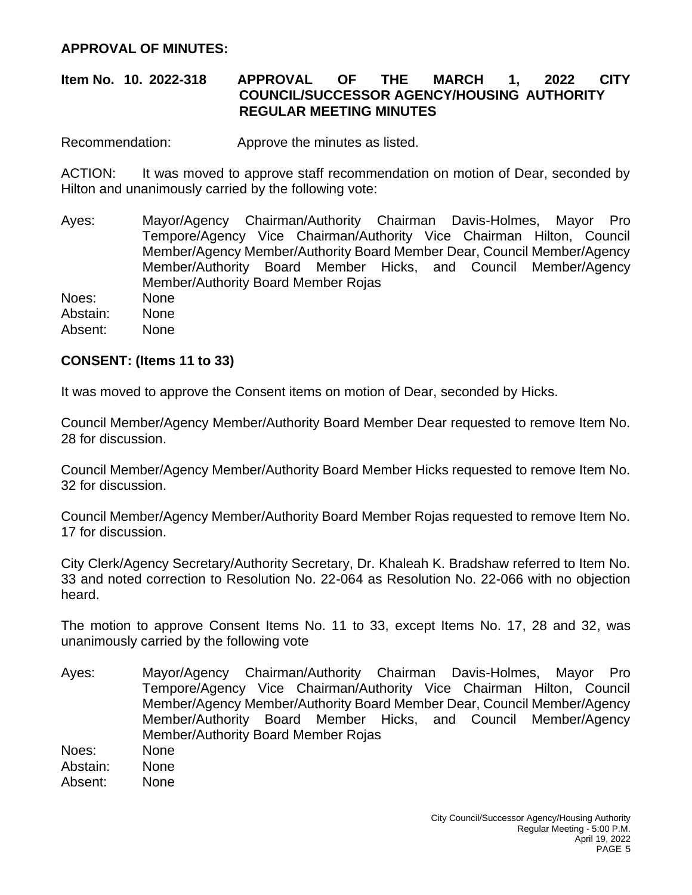## **APPROVAL OF MINUTES:**

## **Item No. 10. 2022-318 APPROVAL OF THE MARCH 1, 2022 CITY COUNCIL/SUCCESSOR AGENCY/HOUSING AUTHORITY REGULAR MEETING MINUTES**

Recommendation: Approve the minutes as listed.

ACTION: It was moved to approve staff recommendation on motion of Dear, seconded by Hilton and unanimously carried by the following vote:

Ayes: Mayor/Agency Chairman/Authority Chairman Davis-Holmes, Mayor Pro Tempore/Agency Vice Chairman/Authority Vice Chairman Hilton, Council Member/Agency Member/Authority Board Member Dear, Council Member/Agency Member/Authority Board Member Hicks, and Council Member/Agency Member/Authority Board Member Rojas

Noes: None Abstain: None Absent: None

#### **CONSENT: (Items 11 to 33)**

It was moved to approve the Consent items on motion of Dear, seconded by Hicks.

Council Member/Agency Member/Authority Board Member Dear requested to remove Item No. 28 for discussion.

Council Member/Agency Member/Authority Board Member Hicks requested to remove Item No. 32 for discussion.

Council Member/Agency Member/Authority Board Member Rojas requested to remove Item No. 17 for discussion.

City Clerk/Agency Secretary/Authority Secretary, Dr. Khaleah K. Bradshaw referred to Item No. 33 and noted correction to Resolution No. 22-064 as Resolution No. 22-066 with no objection heard.

The motion to approve Consent Items No. 11 to 33, except Items No. 17, 28 and 32, was unanimously carried by the following vote

Ayes: Mayor/Agency Chairman/Authority Chairman Davis-Holmes, Mayor Pro Tempore/Agency Vice Chairman/Authority Vice Chairman Hilton, Council Member/Agency Member/Authority Board Member Dear, Council Member/Agency Member/Authority Board Member Hicks, and Council Member/Agency Member/Authority Board Member Rojas Noes: None

Abstain: None

Absent: None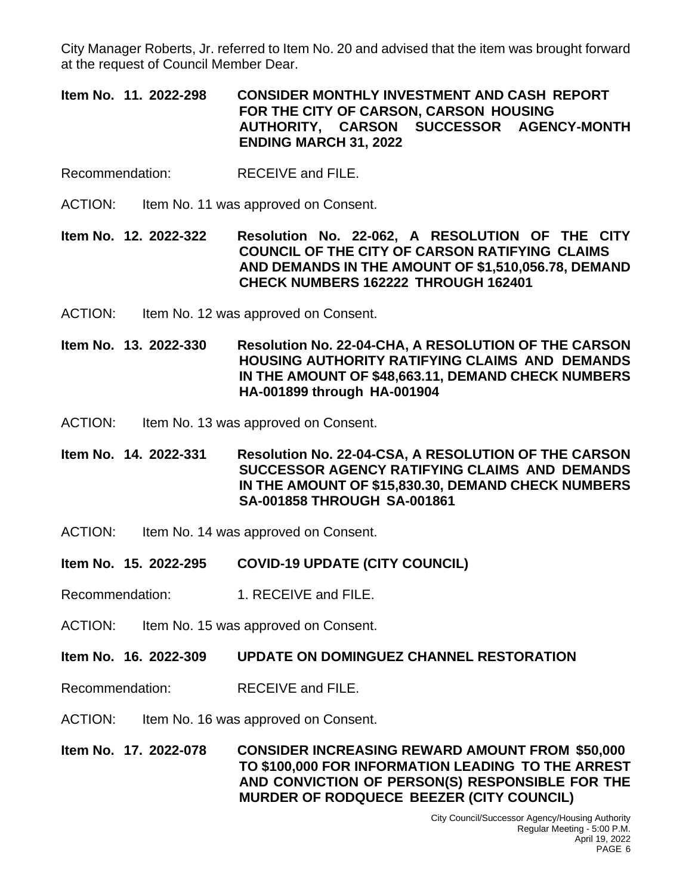City Manager Roberts, Jr. referred to Item No. 20 and advised that the item was brought forward at the request of Council Member Dear.

**Item No. 11. 2022-298 CONSIDER MONTHLY INVESTMENT AND CASH REPORT FOR THE CITY OF CARSON, CARSON HOUSING AUTHORITY, CARSON SUCCESSOR AGENCY-MONTH ENDING MARCH 31, 2022**

- Recommendation: RECEIVE and FILE.
- ACTION: Item No. 11 was approved on Consent.

**Item No. 12. 2022-322 Resolution No. 22-062, A RESOLUTION OF THE CITY COUNCIL OF THE CITY OF CARSON RATIFYING CLAIMS AND DEMANDS IN THE AMOUNT OF \$1,510,056.78, DEMAND CHECK NUMBERS 162222 THROUGH 162401**

ACTION: Item No. 12 was approved on Consent.

**Item No. 13. 2022-330 Resolution No. 22-04-CHA, A RESOLUTION OF THE CARSON HOUSING AUTHORITY RATIFYING CLAIMS AND DEMANDS IN THE AMOUNT OF \$48,663.11, DEMAND CHECK NUMBERS HA-001899 through HA-001904**

ACTION: Item No. 13 was approved on Consent.

**Item No. 14. 2022-331 Resolution No. 22-04-CSA, A RESOLUTION OF THE CARSON SUCCESSOR AGENCY RATIFYING CLAIMS AND DEMANDS IN THE AMOUNT OF \$15,830.30, DEMAND CHECK NUMBERS SA-001858 THROUGH SA-001861**

- ACTION: Item No. 14 was approved on Consent.
- **Item No. 15. 2022-295 COVID-19 UPDATE (CITY COUNCIL)**
- Recommendation: 1. RECEIVE and FILE.
- ACTION: Item No. 15 was approved on Consent.
- **Item No. 16. 2022-309 UPDATE ON DOMINGUEZ CHANNEL RESTORATION**
- Recommendation: RECEIVE and FILE.
- ACTION: Item No. 16 was approved on Consent.

**Item No. 17. 2022-078 CONSIDER INCREASING REWARD AMOUNT FROM \$50,000 TO \$100,000 FOR INFORMATION LEADING TO THE ARREST AND CONVICTION OF PERSON(S) RESPONSIBLE FOR THE MURDER OF RODQUECE BEEZER (CITY COUNCIL)**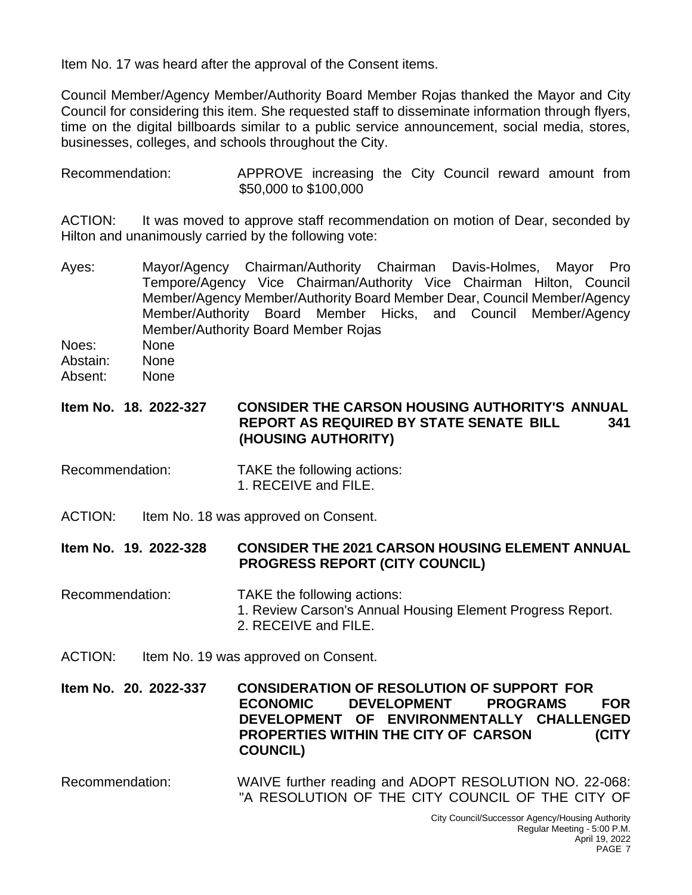Item No. 17 was heard after the approval of the Consent items.

Council Member/Agency Member/Authority Board Member Rojas thanked the Mayor and City Council for considering this item. She requested staff to disseminate information through flyers, time on the digital billboards similar to a public service announcement, social media, stores, businesses, colleges, and schools throughout the City.

Recommendation: APPROVE increasing the City Council reward amount from \$50,000 to \$100,000

ACTION: It was moved to approve staff recommendation on motion of Dear, seconded by Hilton and unanimously carried by the following vote:

- Ayes: Mayor/Agency Chairman/Authority Chairman Davis-Holmes, Mayor Pro Tempore/Agency Vice Chairman/Authority Vice Chairman Hilton, Council Member/Agency Member/Authority Board Member Dear, Council Member/Agency Member/Authority Board Member Hicks, and Council Member/Agency Member/Authority Board Member Rojas
- Noes: None Abstain: None
- Absent: None

# **Item No. 18. 2022-327 CONSIDER THE CARSON HOUSING AUTHORITY'S ANNUAL REPORT AS REQUIRED BY STATE SENATE BILL 341 (HOUSING AUTHORITY)**

- Recommendation: TAKE the following actions: 1. RECEIVE and FILE.
- ACTION: Item No. 18 was approved on Consent.

#### **Item No. 19. 2022-328 CONSIDER THE 2021 CARSON HOUSING ELEMENT ANNUAL PROGRESS REPORT (CITY COUNCIL)**

- Recommendation: TAKE the following actions: 1. Review Carson's Annual Housing Element Progress Report.
	- 2. RECEIVE and FILE.
- ACTION: Item No. 19 was approved on Consent.

#### **Item No. 20. 2022-337 CONSIDERATION OF RESOLUTION OF SUPPORT FOR ECONOMIC DEVELOPMENT PROGRAMS FOR DEVELOPMENT OF ENVIRONMENTALLY CHALLENGED PROPERTIES WITHIN THE CITY OF CARSON (CITY COUNCIL)**

Recommendation: WAIVE further reading and ADOPT RESOLUTION NO. 22-068: "A RESOLUTION OF THE CITY COUNCIL OF THE CITY OF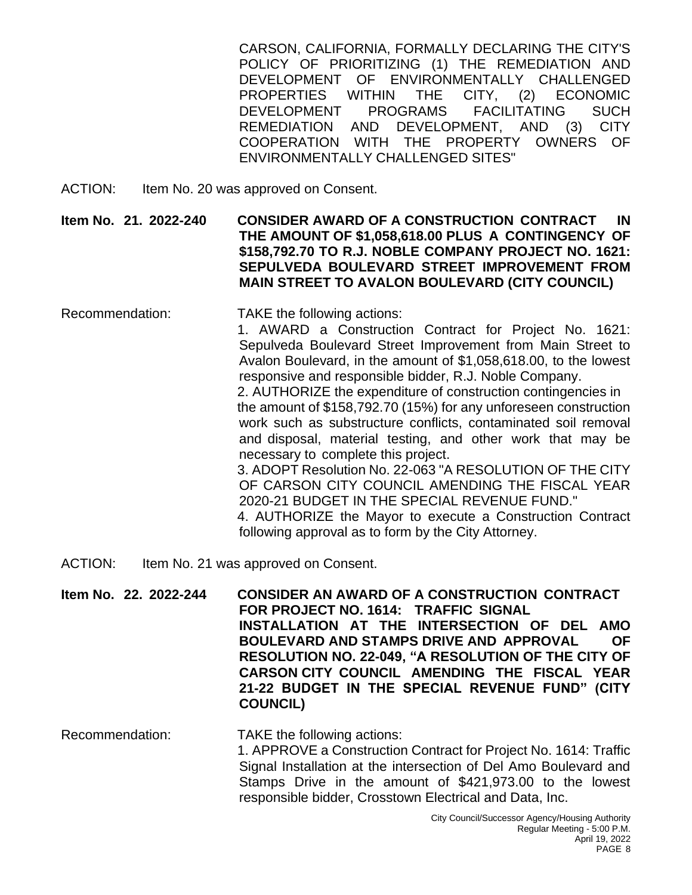CARSON, CALIFORNIA, FORMALLY DECLARING THE CITY'S POLICY OF PRIORITIZING (1) THE REMEDIATION AND DEVELOPMENT OF ENVIRONMENTALLY CHALLENGED PROPERTIES WITHIN THE CITY, (2) ECONOMIC DEVELOPMENT PROGRAMS FACILITATING SUCH REMEDIATION AND DEVELOPMENT, AND (3) CITY COOPERATION WITH THE PROPERTY OWNERS OF ENVIRONMENTALLY CHALLENGED SITES"

ACTION: Item No. 20 was approved on Consent.

**Item No. 21. 2022-240 CONSIDER AWARD OF A CONSTRUCTION CONTRACT IN THE AMOUNT OF \$1,058,618.00 PLUS A CONTINGENCY OF \$158,792.70 TO R.J. NOBLE COMPANY PROJECT NO. 1621: SEPULVEDA BOULEVARD STREET IMPROVEMENT FROM MAIN STREET TO AVALON BOULEVARD (CITY COUNCIL)**

- Recommendation: TAKE the following actions: 1. AWARD a Construction Contract for Project No. 1621: Sepulveda Boulevard Street Improvement from Main Street to Avalon Boulevard, in the amount of \$1,058,618.00, to the lowest responsive and responsible bidder, R.J. Noble Company. 2. AUTHORIZE the expenditure of construction contingencies in the amount of \$158,792.70 (15%) for any unforeseen construction work such as substructure conflicts, contaminated soil removal and disposal, material testing, and other work that may be necessary to complete this project. 3. ADOPT Resolution No. 22-063 "A RESOLUTION OF THE CITY OF CARSON CITY COUNCIL AMENDING THE FISCAL YEAR 2020-21 BUDGET IN THE SPECIAL REVENUE FUND." 4. AUTHORIZE the Mayor to execute a Construction Contract following approval as to form by the City Attorney.
- ACTION: Item No. 21 was approved on Consent.

**Item No. 22. 2022-244 CONSIDER AN AWARD OF A CONSTRUCTION CONTRACT FOR PROJECT NO. 1614: TRAFFIC SIGNAL INSTALLATION AT THE INTERSECTION OF DEL AMO BOULEVARD AND STAMPS DRIVE AND APPROVAL OF RESOLUTION NO. 22-049, "A RESOLUTION OF THE CITY OF CARSON CITY COUNCIL AMENDING THE FISCAL YEAR 21-22 BUDGET IN THE SPECIAL REVENUE FUND" (CITY COUNCIL)**

Recommendation: TAKE the following actions: 1. APPROVE a Construction Contract for Project No. 1614: Traffic Signal Installation at the intersection of Del Amo Boulevard and Stamps Drive in the amount of \$421,973.00 to the lowest responsible bidder, Crosstown Electrical and Data, Inc.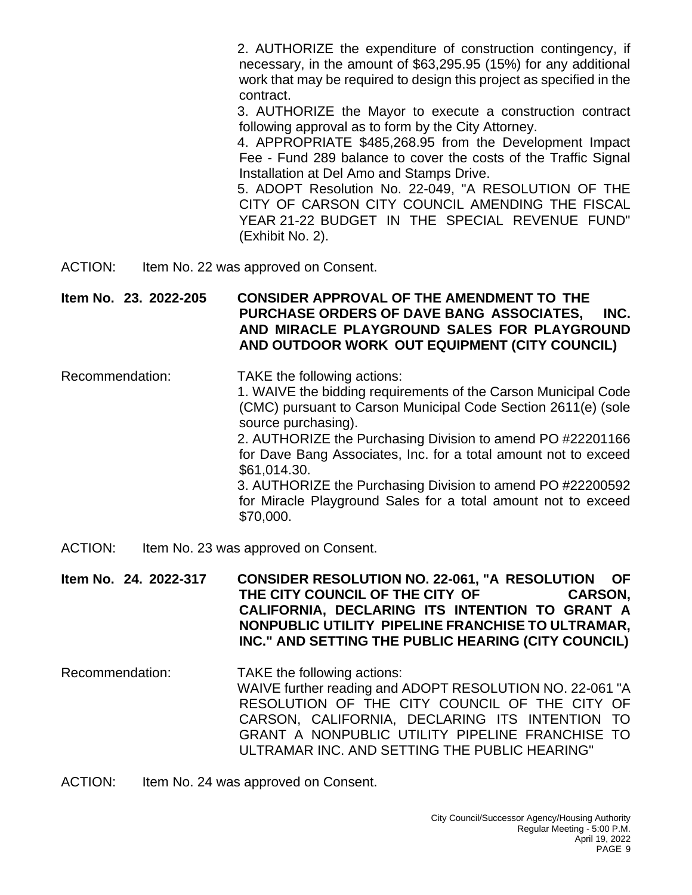2. AUTHORIZE the expenditure of construction contingency, if necessary, in the amount of \$63,295.95 (15%) for any additional work that may be required to design this project as specified in the contract.

3. AUTHORIZE the Mayor to execute a construction contract following approval as to form by the City Attorney.

4. APPROPRIATE \$485,268.95 from the Development Impact Fee - Fund 289 balance to cover the costs of the Traffic Signal Installation at Del Amo and Stamps Drive.

5. ADOPT Resolution No. 22-049, "A RESOLUTION OF THE CITY OF CARSON CITY COUNCIL AMENDING THE FISCAL YEAR 21-22 BUDGET IN THE SPECIAL REVENUE FUND" (Exhibit No. 2).

ACTION: Item No. 22 was approved on Consent.

**Item No. 23. 2022-205 CONSIDER APPROVAL OF THE AMENDMENT TO THE PURCHASE ORDERS OF DAVE BANG ASSOCIATES, INC. AND MIRACLE PLAYGROUND SALES FOR PLAYGROUND AND OUTDOOR WORK OUT EQUIPMENT (CITY COUNCIL)**

- Recommendation: TAKE the following actions: 1. WAIVE the bidding requirements of the Carson Municipal Code (CMC) pursuant to Carson Municipal Code Section 2611(e) (sole source purchasing). 2. AUTHORIZE the Purchasing Division to amend PO #22201166 for Dave Bang Associates, Inc. for a total amount not to exceed \$61,014.30. 3. AUTHORIZE the Purchasing Division to amend PO #22200592 for Miracle Playground Sales for a total amount not to exceed \$70,000.
- ACTION: Item No. 23 was approved on Consent.

**Item No. 24. 2022-317 CONSIDER RESOLUTION NO. 22-061, "A RESOLUTION OF THE CITY COUNCIL OF THE CITY OF CARSON, CALIFORNIA, DECLARING ITS INTENTION TO GRANT A NONPUBLIC UTILITY PIPELINE FRANCHISE TO ULTRAMAR, INC." AND SETTING THE PUBLIC HEARING (CITY COUNCIL)**

- Recommendation: TAKE the following actions: WAIVE further reading and ADOPT RESOLUTION NO. 22-061 "A RESOLUTION OF THE CITY COUNCIL OF THE CITY OF CARSON, CALIFORNIA, DECLARING ITS INTENTION TO GRANT A NONPUBLIC UTILITY PIPELINE FRANCHISE TO ULTRAMAR INC. AND SETTING THE PUBLIC HEARING"
- ACTION: Item No. 24 was approved on Consent.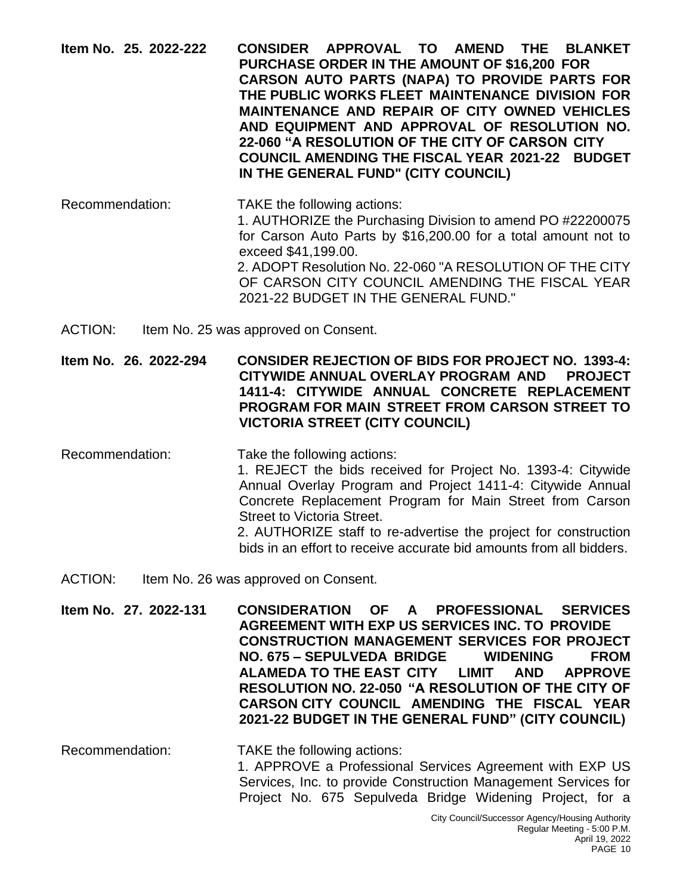| Item No. 25. 2022-222 |  |  | CONSIDER APPROVAL TO AMEND THE BLANKET                 |  |  |  |  |  |
|-----------------------|--|--|--------------------------------------------------------|--|--|--|--|--|
|                       |  |  | <b>PURCHASE ORDER IN THE AMOUNT OF \$16,200 FOR</b>    |  |  |  |  |  |
|                       |  |  | CARSON AUTO PARTS (NAPA) TO PROVIDE PARTS FOR          |  |  |  |  |  |
|                       |  |  | THE PUBLIC WORKS FLEET MAINTENANCE DIVISION FOR        |  |  |  |  |  |
|                       |  |  | <b>MAINTENANCE AND REPAIR OF CITY OWNED VEHICLES</b>   |  |  |  |  |  |
|                       |  |  | AND EQUIPMENT AND APPROVAL OF RESOLUTION NO.           |  |  |  |  |  |
|                       |  |  | 22-060 "A RESOLUTION OF THE CITY OF CARSON CITY        |  |  |  |  |  |
|                       |  |  | <b>COUNCIL AMENDING THE FISCAL YEAR 2021-22 BUDGET</b> |  |  |  |  |  |
|                       |  |  | IN THE GENERAL FUND" (CITY COUNCIL)                    |  |  |  |  |  |

- Recommendation: TAKE the following actions: 1. AUTHORIZE the Purchasing Division to amend PO #22200075 for Carson Auto Parts by \$16,200.00 for a total amount not to exceed \$41,199.00. 2. ADOPT Resolution No. 22-060 "A RESOLUTION OF THE CITY OF CARSON CITY COUNCIL AMENDING THE FISCAL YEAR 2021-22 BUDGET IN THE GENERAL FUND."
- ACTION: Item No. 25 was approved on Consent.

**Item No. 26. 2022-294 CONSIDER REJECTION OF BIDS FOR PROJECT NO. 1393-4: CITYWIDE ANNUAL OVERLAY PROGRAM AND PROJECT 1411-4: CITYWIDE ANNUAL CONCRETE REPLACEMENT PROGRAM FOR MAIN STREET FROM CARSON STREET TO VICTORIA STREET (CITY COUNCIL)**

- Recommendation: Take the following actions: 1. REJECT the bids received for Project No. 1393-4: Citywide Annual Overlay Program and Project 1411-4: Citywide Annual Concrete Replacement Program for Main Street from Carson Street to Victoria Street. 2. AUTHORIZE staff to re-advertise the project for construction bids in an effort to receive accurate bid amounts from all bidders.
- ACTION: Item No. 26 was approved on Consent.

**Item No. 27. 2022-131 CONSIDERATION OF A PROFESSIONAL SERVICES AGREEMENT WITH EXP US SERVICES INC. TO PROVIDE CONSTRUCTION MANAGEMENT SERVICES FOR PROJECT NO. 675 – SEPULVEDA BRIDGE WIDENING FROM ALAMEDA TO THE EAST CITY LIMIT AND APPROVE RESOLUTION NO. 22-050 "A RESOLUTION OF THE CITY OF CARSON CITY COUNCIL AMENDING THE FISCAL YEAR 2021-22 BUDGET IN THE GENERAL FUND" (CITY COUNCIL)**

Recommendation: TAKE the following actions: 1. APPROVE a Professional Services Agreement with EXP US Services, Inc. to provide Construction Management Services for Project No. 675 Sepulveda Bridge Widening Project, for a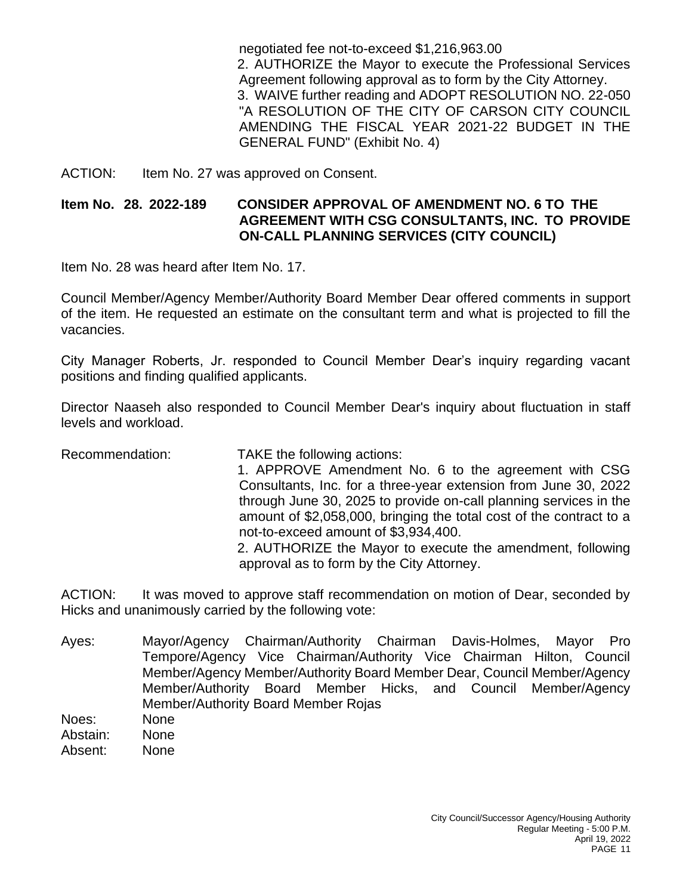negotiated fee not-to-exceed \$1,216,963.00 2. AUTHORIZE the Mayor to execute the Professional Services Agreement following approval as to form by the City Attorney. 3. WAIVE further reading and ADOPT RESOLUTION NO. 22-050 "A RESOLUTION OF THE CITY OF CARSON CITY COUNCIL AMENDING THE FISCAL YEAR 2021-22 BUDGET IN THE GENERAL FUND" (Exhibit No. 4)

ACTION: Item No. 27 was approved on Consent.

## **Item No. 28. 2022-189 CONSIDER APPROVAL OF AMENDMENT NO. 6 TO THE AGREEMENT WITH CSG CONSULTANTS, INC. TO PROVIDE ON-CALL PLANNING SERVICES (CITY COUNCIL)**

Item No. 28 was heard after Item No. 17.

Council Member/Agency Member/Authority Board Member Dear offered comments in support of the item. He requested an estimate on the consultant term and what is projected to fill the vacancies.

City Manager Roberts, Jr. responded to Council Member Dear's inquiry regarding vacant positions and finding qualified applicants.

Director Naaseh also responded to Council Member Dear's inquiry about fluctuation in staff levels and workload.

Recommendation: TAKE the following actions: 1. APPROVE Amendment No. 6 to the agreement with CSG Consultants, Inc. for a three-year extension from June 30, 2022 through June 30, 2025 to provide on-call planning services in the amount of \$2,058,000, bringing the total cost of the contract to a not-to-exceed amount of \$3,934,400. 2. AUTHORIZE the Mayor to execute the amendment, following approval as to form by the City Attorney.

ACTION: It was moved to approve staff recommendation on motion of Dear, seconded by Hicks and unanimously carried by the following vote:

- Ayes: Mayor/Agency Chairman/Authority Chairman Davis-Holmes, Mayor Pro Tempore/Agency Vice Chairman/Authority Vice Chairman Hilton, Council Member/Agency Member/Authority Board Member Dear, Council Member/Agency Member/Authority Board Member Hicks, and Council Member/Agency Member/Authority Board Member Rojas
- Noes: None Abstain: None
- Absent: None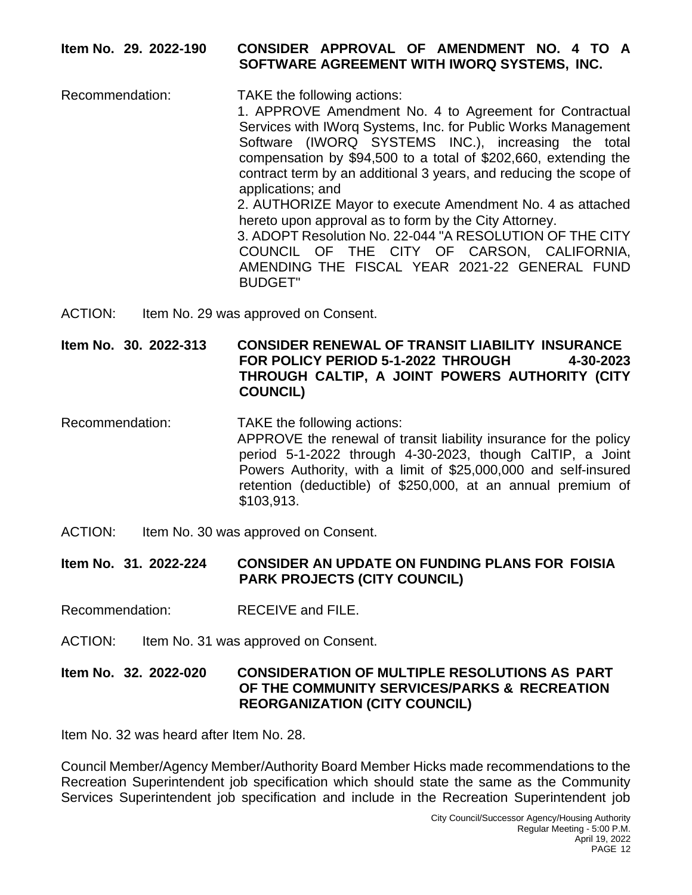## **Item No. 29. 2022-190 CONSIDER APPROVAL OF AMENDMENT NO. 4 TO A SOFTWARE AGREEMENT WITH IWORQ SYSTEMS, INC.**

- Recommendation: TAKE the following actions: 1. APPROVE Amendment No. 4 to Agreement for Contractual Services with IWorq Systems, Inc. for Public Works Management Software (IWORQ SYSTEMS INC.), increasing the total compensation by \$94,500 to a total of \$202,660, extending the contract term by an additional 3 years, and reducing the scope of applications; and 2. AUTHORIZE Mayor to execute Amendment No. 4 as attached hereto upon approval as to form by the City Attorney. 3. ADOPT Resolution No. 22-044 "A RESOLUTION OF THE CITY COUNCIL OF THE CITY OF CARSON, CALIFORNIA, AMENDING THE FISCAL YEAR 2021-22 GENERAL FUND BUDGET"
- ACTION: Item No. 29 was approved on Consent.

**Item No. 30. 2022-313 CONSIDER RENEWAL OF TRANSIT LIABILITY INSURANCE FOR POLICY PERIOD 5-1-2022 THROUGH 4-30-2023 THROUGH CALTIP, A JOINT POWERS AUTHORITY (CITY COUNCIL)**

- Recommendation: TAKE the following actions: APPROVE the renewal of transit liability insurance for the policy period 5-1-2022 through 4-30-2023, though CalTIP, a Joint Powers Authority, with a limit of \$25,000,000 and self-insured retention (deductible) of \$250,000, at an annual premium of \$103,913.
- ACTION: Item No. 30 was approved on Consent.

**Item No. 31. 2022-224 CONSIDER AN UPDATE ON FUNDING PLANS FOR FOISIA PARK PROJECTS (CITY COUNCIL)**

- Recommendation: RECEIVE and FILE.
- ACTION: Item No. 31 was approved on Consent.

#### **Item No. 32. 2022-020 CONSIDERATION OF MULTIPLE RESOLUTIONS AS PART OF THE COMMUNITY SERVICES/PARKS & RECREATION REORGANIZATION (CITY COUNCIL)**

Item No. 32 was heard after Item No. 28.

Council Member/Agency Member/Authority Board Member Hicks made recommendations to the Recreation Superintendent job specification which should state the same as the Community Services Superintendent job specification and include in the Recreation Superintendent job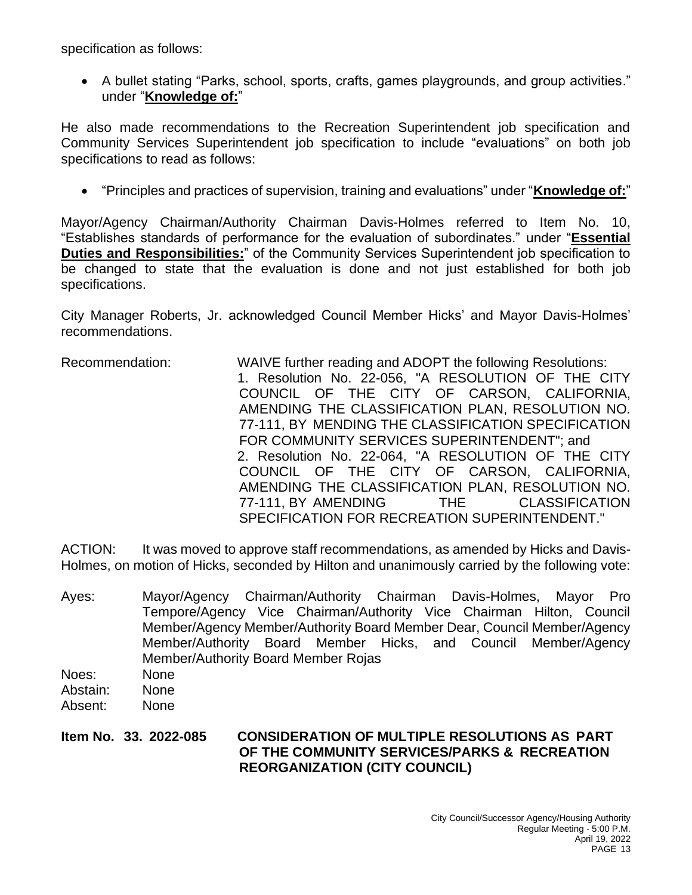specification as follows:

• A bullet stating "Parks, school, sports, crafts, games playgrounds, and group activities." under "**Knowledge of:**"

He also made recommendations to the Recreation Superintendent job specification and Community Services Superintendent job specification to include "evaluations" on both job specifications to read as follows:

• "Principles and practices of supervision, training and evaluations" under "**Knowledge of:**"

Mayor/Agency Chairman/Authority Chairman Davis-Holmes referred to Item No. 10, "Establishes standards of performance for the evaluation of subordinates." under "**Essential Duties and Responsibilities:**" of the Community Services Superintendent job specification to be changed to state that the evaluation is done and not just established for both job specifications.

City Manager Roberts, Jr. acknowledged Council Member Hicks' and Mayor Davis-Holmes' recommendations.

Recommendation: WAIVE further reading and ADOPT the following Resolutions: 1. Resolution No. 22-056, "A RESOLUTION OF THE CITY COUNCIL OF THE CITY OF CARSON, CALIFORNIA, AMENDING THE CLASSIFICATION PLAN, RESOLUTION NO. 77-111, BY MENDING THE CLASSIFICATION SPECIFICATION FOR COMMUNITY SERVICES SUPERINTENDENT"; and 2. Resolution No. 22-064, "A RESOLUTION OF THE CITY COUNCIL OF THE CITY OF CARSON, CALIFORNIA, AMENDING THE CLASSIFICATION PLAN, RESOLUTION NO. 77-111, BY AMENDING THE CLASSIFICATION SPECIFICATION FOR RECREATION SUPERINTENDENT."

ACTION: It was moved to approve staff recommendations, as amended by Hicks and Davis-Holmes, on motion of Hicks, seconded by Hilton and unanimously carried by the following vote:

Ayes: Mayor/Agency Chairman/Authority Chairman Davis-Holmes, Mayor Pro Tempore/Agency Vice Chairman/Authority Vice Chairman Hilton, Council Member/Agency Member/Authority Board Member Dear, Council Member/Agency Member/Authority Board Member Hicks, and Council Member/Agency Member/Authority Board Member Rojas Noes: None Abstain: None Absent: None

**Item No. 33. 2022-085 CONSIDERATION OF MULTIPLE RESOLUTIONS AS PART OF THE COMMUNITY SERVICES/PARKS & RECREATION REORGANIZATION (CITY COUNCIL)**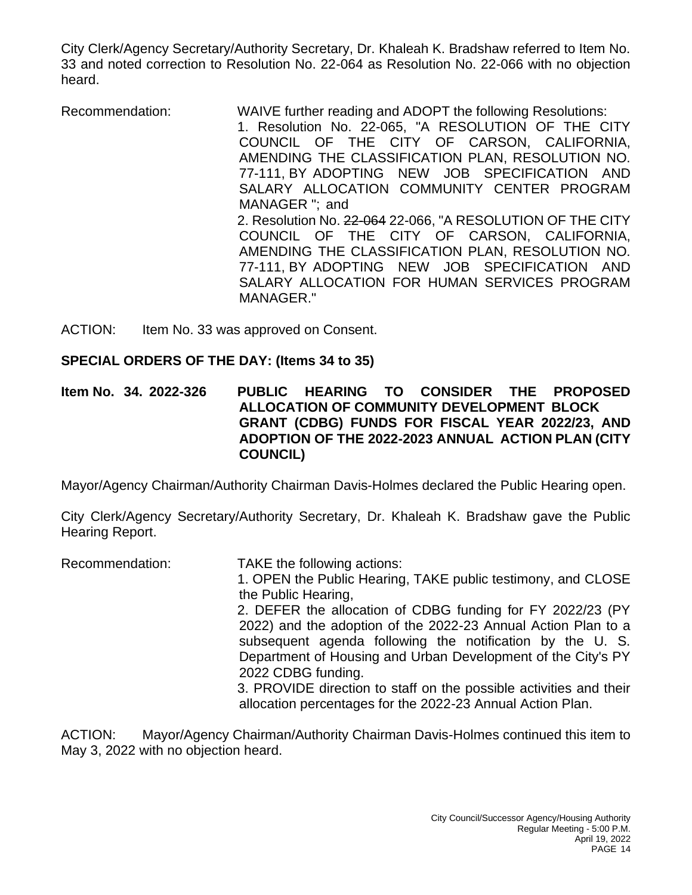City Clerk/Agency Secretary/Authority Secretary, Dr. Khaleah K. Bradshaw referred to Item No. 33 and noted correction to Resolution No. 22-064 as Resolution No. 22-066 with no objection heard.

Recommendation: WAIVE further reading and ADOPT the following Resolutions: 1. Resolution No. 22-065, "A RESOLUTION OF THE CITY COUNCIL OF THE CITY OF CARSON, CALIFORNIA, AMENDING THE CLASSIFICATION PLAN, RESOLUTION NO. 77-111, BY ADOPTING NEW JOB SPECIFICATION AND SALARY ALLOCATION COMMUNITY CENTER PROGRAM MANAGER "; and 2. Resolution No. 22-064 22-066, "A RESOLUTION OF THE CITY COUNCIL OF THE CITY OF CARSON, CALIFORNIA, AMENDING THE CLASSIFICATION PLAN, RESOLUTION NO. 77-111, BY ADOPTING NEW JOB SPECIFICATION AND SALARY ALLOCATION FOR HUMAN SERVICES PROGRAM MANAGER."

ACTION: Item No. 33 was approved on Consent.

# **SPECIAL ORDERS OF THE DAY: (Items 34 to 35)**

**Item No. 34. 2022-326 PUBLIC HEARING TO CONSIDER THE PROPOSED ALLOCATION OF COMMUNITY DEVELOPMENT BLOCK GRANT (CDBG) FUNDS FOR FISCAL YEAR 2022/23, AND ADOPTION OF THE 2022-2023 ANNUAL ACTION PLAN (CITY COUNCIL)**

Mayor/Agency Chairman/Authority Chairman Davis-Holmes declared the Public Hearing open.

City Clerk/Agency Secretary/Authority Secretary, Dr. Khaleah K. Bradshaw gave the Public Hearing Report.

Recommendation: TAKE the following actions: 1. OPEN the Public Hearing, TAKE public testimony, and CLOSE the Public Hearing, 2. DEFER the allocation of CDBG funding for FY 2022/23 (PY 2022) and the adoption of the 2022-23 Annual Action Plan to a subsequent agenda following the notification by the U. S. Department of Housing and Urban Development of the City's PY 2022 CDBG funding. 3. PROVIDE direction to staff on the possible activities and their allocation percentages for the 2022-23 Annual Action Plan.

ACTION: Mayor/Agency Chairman/Authority Chairman Davis-Holmes continued this item to May 3, 2022 with no objection heard.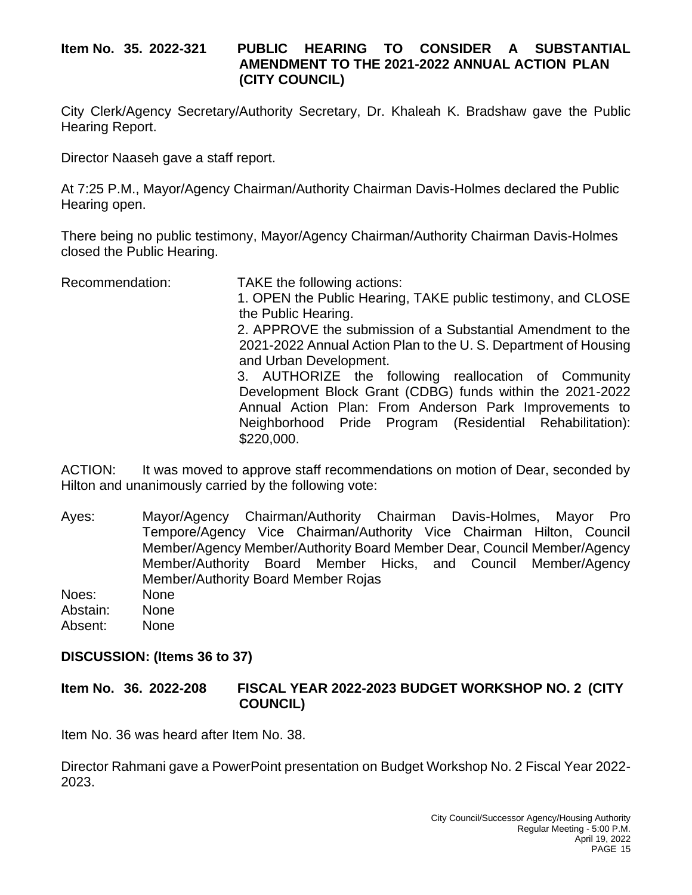#### **Item No. 35. 2022-321 PUBLIC HEARING TO CONSIDER A SUBSTANTIAL AMENDMENT TO THE 2021-2022 ANNUAL ACTION PLAN (CITY COUNCIL)**

City Clerk/Agency Secretary/Authority Secretary, Dr. Khaleah K. Bradshaw gave the Public Hearing Report.

Director Naaseh gave a staff report.

At 7:25 P.M., Mayor/Agency Chairman/Authority Chairman Davis-Holmes declared the Public Hearing open.

There being no public testimony, Mayor/Agency Chairman/Authority Chairman Davis-Holmes closed the Public Hearing.

Recommendation: TAKE the following actions: 1. OPEN the Public Hearing, TAKE public testimony, and CLOSE the Public Hearing. 2. APPROVE the submission of a Substantial Amendment to the 2021-2022 Annual Action Plan to the U. S. Department of Housing and Urban Development. 3. AUTHORIZE the following reallocation of Community Development Block Grant (CDBG) funds within the 2021-2022 Annual Action Plan: From Anderson Park Improvements to Neighborhood Pride Program (Residential Rehabilitation): \$220,000.

ACTION: It was moved to approve staff recommendations on motion of Dear, seconded by Hilton and unanimously carried by the following vote:

- Ayes: Mayor/Agency Chairman/Authority Chairman Davis-Holmes, Mayor Pro Tempore/Agency Vice Chairman/Authority Vice Chairman Hilton, Council Member/Agency Member/Authority Board Member Dear, Council Member/Agency Member/Authority Board Member Hicks, and Council Member/Agency Member/Authority Board Member Rojas Noes: None
- Abstain: None Absent: None

# **DISCUSSION: (Items 36 to 37)**

**Item No. 36. 2022-208 FISCAL YEAR 2022-2023 BUDGET WORKSHOP NO. 2 (CITY COUNCIL)**

Item No. 36 was heard after Item No. 38.

Director Rahmani gave a PowerPoint presentation on Budget Workshop No. 2 Fiscal Year 2022- 2023.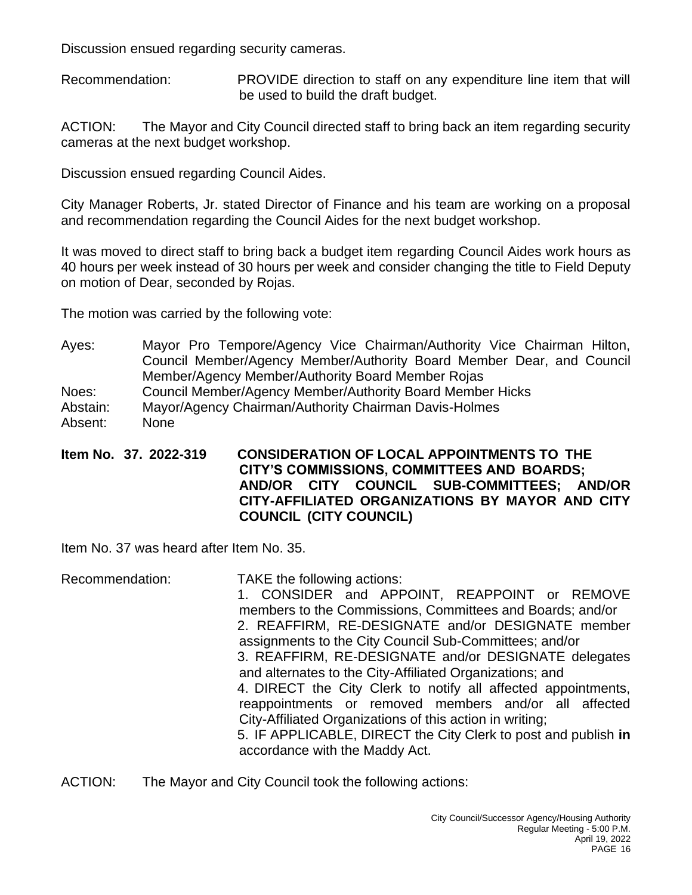Discussion ensued regarding security cameras.

Recommendation: PROVIDE direction to staff on any expenditure line item that will be used to build the draft budget.

ACTION: The Mayor and City Council directed staff to bring back an item regarding security cameras at the next budget workshop.

Discussion ensued regarding Council Aides.

City Manager Roberts, Jr. stated Director of Finance and his team are working on a proposal and recommendation regarding the Council Aides for the next budget workshop.

It was moved to direct staff to bring back a budget item regarding Council Aides work hours as 40 hours per week instead of 30 hours per week and consider changing the title to Field Deputy on motion of Dear, seconded by Rojas.

The motion was carried by the following vote:

Ayes: Mayor Pro Tempore/Agency Vice Chairman/Authority Vice Chairman Hilton, Council Member/Agency Member/Authority Board Member Dear, and Council Member/Agency Member/Authority Board Member Rojas

Noes: Council Member/Agency Member/Authority Board Member Hicks

Abstain: Mayor/Agency Chairman/Authority Chairman Davis-Holmes

Absent: None

**Item No. 37. 2022-319 CONSIDERATION OF LOCAL APPOINTMENTS TO THE CITY'S COMMISSIONS, COMMITTEES AND BOARDS; AND/OR CITY COUNCIL SUB-COMMITTEES; AND/OR CITY-AFFILIATED ORGANIZATIONS BY MAYOR AND CITY COUNCIL (CITY COUNCIL)**

Item No. 37 was heard after Item No. 35.

Recommendation: TAKE the following actions: 1. CONSIDER and APPOINT, REAPPOINT or REMOVE members to the Commissions, Committees and Boards; and/or 2. REAFFIRM, RE-DESIGNATE and/or DESIGNATE member assignments to the City Council Sub-Committees; and/or 3. REAFFIRM, RE-DESIGNATE and/or DESIGNATE delegates and alternates to the City-Affiliated Organizations; and 4. DIRECT the City Clerk to notify all affected appointments, reappointments or removed members and/or all affected City-Affiliated Organizations of this action in writing; 5. IF APPLICABLE, DIRECT the City Clerk to post and publish **in** accordance with the Maddy Act.

ACTION: The Mayor and City Council took the following actions: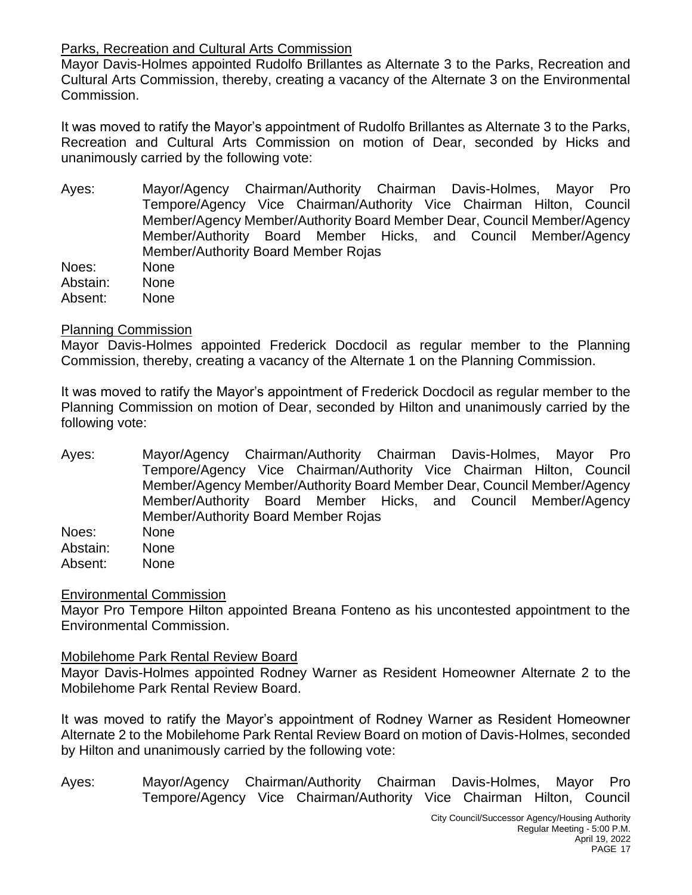# Parks, Recreation and Cultural Arts Commission

Mayor Davis-Holmes appointed Rudolfo Brillantes as Alternate 3 to the Parks, Recreation and Cultural Arts Commission, thereby, creating a vacancy of the Alternate 3 on the Environmental Commission.

It was moved to ratify the Mayor's appointment of Rudolfo Brillantes as Alternate 3 to the Parks, Recreation and Cultural Arts Commission on motion of Dear, seconded by Hicks and unanimously carried by the following vote:

- Ayes: Mayor/Agency Chairman/Authority Chairman Davis-Holmes, Mayor Pro Tempore/Agency Vice Chairman/Authority Vice Chairman Hilton, Council Member/Agency Member/Authority Board Member Dear, Council Member/Agency Member/Authority Board Member Hicks, and Council Member/Agency Member/Authority Board Member Rojas Noes: None
- Abstain: None Absent: None

# Planning Commission

Mayor Davis-Holmes appointed Frederick Docdocil as regular member to the Planning Commission, thereby, creating a vacancy of the Alternate 1 on the Planning Commission.

It was moved to ratify the Mayor's appointment of Frederick Docdocil as regular member to the Planning Commission on motion of Dear, seconded by Hilton and unanimously carried by the following vote:

Ayes: Mayor/Agency Chairman/Authority Chairman Davis-Holmes, Mayor Pro Tempore/Agency Vice Chairman/Authority Vice Chairman Hilton, Council Member/Agency Member/Authority Board Member Dear, Council Member/Agency Member/Authority Board Member Hicks, and Council Member/Agency Member/Authority Board Member Rojas

Noes: None Abstain: None Absent: None

#### Environmental Commission

Mayor Pro Tempore Hilton appointed Breana Fonteno as his uncontested appointment to the Environmental Commission.

#### Mobilehome Park Rental Review Board

Mayor Davis-Holmes appointed Rodney Warner as Resident Homeowner Alternate 2 to the Mobilehome Park Rental Review Board.

It was moved to ratify the Mayor's appointment of Rodney Warner as Resident Homeowner Alternate 2 to the Mobilehome Park Rental Review Board on motion of Davis-Holmes, seconded by Hilton and unanimously carried by the following vote:

Ayes: Mayor/Agency Chairman/Authority Chairman Davis-Holmes, Mayor Pro Tempore/Agency Vice Chairman/Authority Vice Chairman Hilton, Council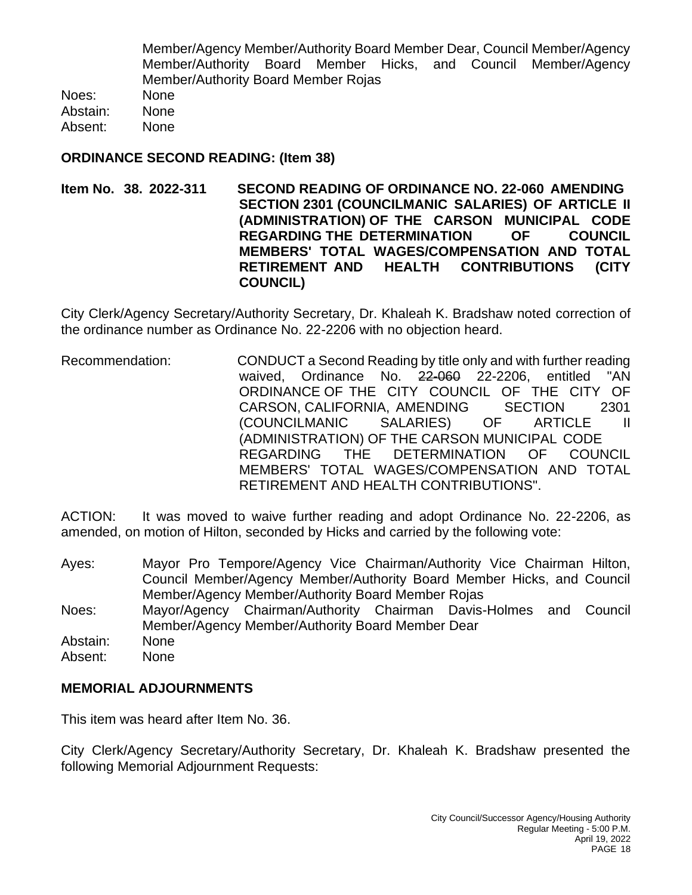Member/Agency Member/Authority Board Member Dear, Council Member/Agency Member/Authority Board Member Hicks, and Council Member/Agency Member/Authority Board Member Rojas

Noes: None Abstain: None Absent: None

## **ORDINANCE SECOND READING: (Item 38)**

**Item No. 38. 2022-311 SECOND READING OF ORDINANCE NO. 22-060 AMENDING SECTION 2301 (COUNCILMANIC SALARIES) OF ARTICLE II (ADMINISTRATION) OF THE CARSON MUNICIPAL CODE REGARDING THE DETERMINATION OF COUNCIL MEMBERS' TOTAL WAGES/COMPENSATION AND TOTAL RETIREMENT AND HEALTH CONTRIBUTIONS (CITY COUNCIL)**

City Clerk/Agency Secretary/Authority Secretary, Dr. Khaleah K. Bradshaw noted correction of the ordinance number as Ordinance No. 22-2206 with no objection heard.

Recommendation: CONDUCT a Second Reading by title only and with further reading waived, Ordinance No. 22-060 22-2206, entitled "AN ORDINANCE OF THE CITY COUNCIL OF THE CITY OF CARSON, CALIFORNIA, AMENDING SECTION 2301 (COUNCILMANIC SALARIES) OF ARTICLE II (ADMINISTRATION) OF THE CARSON MUNICIPAL CODE REGARDING THE DETERMINATION OF COUNCIL MEMBERS' TOTAL WAGES/COMPENSATION AND TOTAL RETIREMENT AND HEALTH CONTRIBUTIONS".

ACTION: It was moved to waive further reading and adopt Ordinance No. 22-2206, as amended, on motion of Hilton, seconded by Hicks and carried by the following vote:

- Ayes: Mayor Pro Tempore/Agency Vice Chairman/Authority Vice Chairman Hilton, Council Member/Agency Member/Authority Board Member Hicks, and Council Member/Agency Member/Authority Board Member Rojas
- Noes: Mayor/Agency Chairman/Authority Chairman Davis-Holmes and Council Member/Agency Member/Authority Board Member Dear
- Abstain: None
- Absent: None

# **MEMORIAL ADJOURNMENTS**

This item was heard after Item No. 36.

City Clerk/Agency Secretary/Authority Secretary, Dr. Khaleah K. Bradshaw presented the following Memorial Adjournment Requests: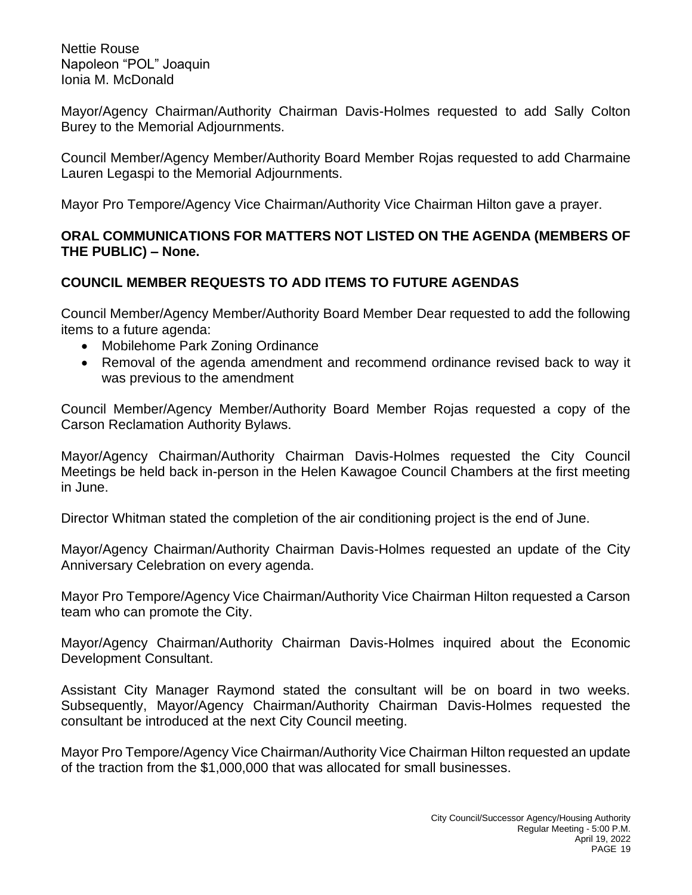Nettie Rouse Napoleon "POL" Joaquin Ionia M. McDonald

Mayor/Agency Chairman/Authority Chairman Davis-Holmes requested to add Sally Colton Burey to the Memorial Adjournments.

Council Member/Agency Member/Authority Board Member Rojas requested to add Charmaine Lauren Legaspi to the Memorial Adjournments.

Mayor Pro Tempore/Agency Vice Chairman/Authority Vice Chairman Hilton gave a prayer.

## **ORAL COMMUNICATIONS FOR MATTERS NOT LISTED ON THE AGENDA (MEMBERS OF THE PUBLIC) – None.**

# **COUNCIL MEMBER REQUESTS TO ADD ITEMS TO FUTURE AGENDAS**

Council Member/Agency Member/Authority Board Member Dear requested to add the following items to a future agenda:

- Mobilehome Park Zoning Ordinance
- Removal of the agenda amendment and recommend ordinance revised back to way it was previous to the amendment

Council Member/Agency Member/Authority Board Member Rojas requested a copy of the Carson Reclamation Authority Bylaws.

Mayor/Agency Chairman/Authority Chairman Davis-Holmes requested the City Council Meetings be held back in-person in the Helen Kawagoe Council Chambers at the first meeting in June.

Director Whitman stated the completion of the air conditioning project is the end of June.

Mayor/Agency Chairman/Authority Chairman Davis-Holmes requested an update of the City Anniversary Celebration on every agenda.

Mayor Pro Tempore/Agency Vice Chairman/Authority Vice Chairman Hilton requested a Carson team who can promote the City.

Mayor/Agency Chairman/Authority Chairman Davis-Holmes inquired about the Economic Development Consultant.

Assistant City Manager Raymond stated the consultant will be on board in two weeks. Subsequently, Mayor/Agency Chairman/Authority Chairman Davis-Holmes requested the consultant be introduced at the next City Council meeting.

Mayor Pro Tempore/Agency Vice Chairman/Authority Vice Chairman Hilton requested an update of the traction from the \$1,000,000 that was allocated for small businesses.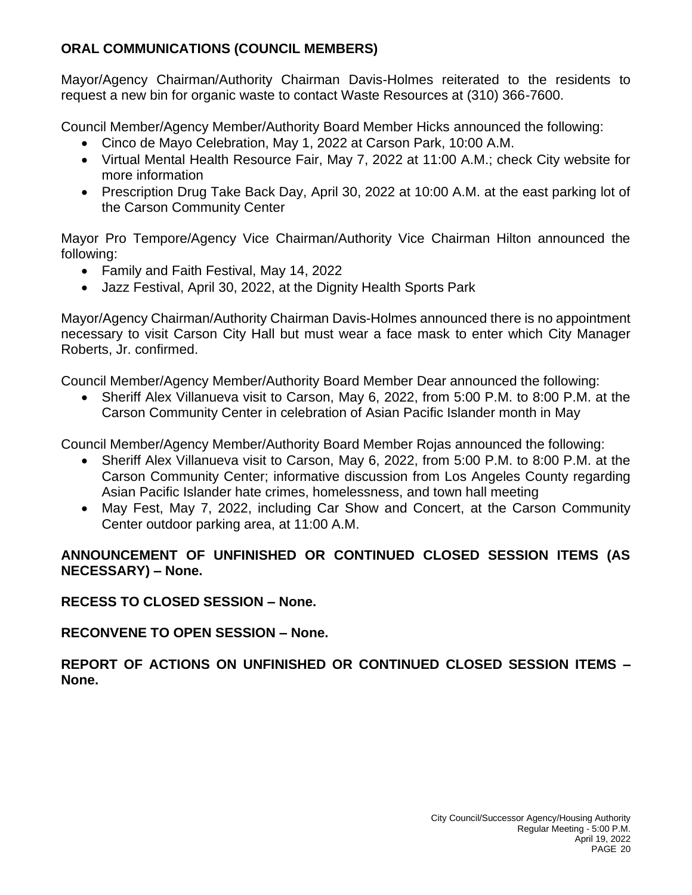# **ORAL COMMUNICATIONS (COUNCIL MEMBERS)**

Mayor/Agency Chairman/Authority Chairman Davis-Holmes reiterated to the residents to request a new bin for organic waste to contact Waste Resources at (310) 366-7600.

Council Member/Agency Member/Authority Board Member Hicks announced the following:

- Cinco de Mayo Celebration, May 1, 2022 at Carson Park, 10:00 A.M.
- Virtual Mental Health Resource Fair, May 7, 2022 at 11:00 A.M.; check City website for more information
- Prescription Drug Take Back Day, April 30, 2022 at 10:00 A.M. at the east parking lot of the Carson Community Center

Mayor Pro Tempore/Agency Vice Chairman/Authority Vice Chairman Hilton announced the following:

- Family and Faith Festival, May 14, 2022
- Jazz Festival, April 30, 2022, at the Dignity Health Sports Park

Mayor/Agency Chairman/Authority Chairman Davis-Holmes announced there is no appointment necessary to visit Carson City Hall but must wear a face mask to enter which City Manager Roberts, Jr. confirmed.

Council Member/Agency Member/Authority Board Member Dear announced the following:

• Sheriff Alex Villanueva visit to Carson, May 6, 2022, from 5:00 P.M. to 8:00 P.M. at the Carson Community Center in celebration of Asian Pacific Islander month in May

Council Member/Agency Member/Authority Board Member Rojas announced the following:

- Sheriff Alex Villanueva visit to Carson, May 6, 2022, from 5:00 P.M. to 8:00 P.M. at the Carson Community Center; informative discussion from Los Angeles County regarding Asian Pacific Islander hate crimes, homelessness, and town hall meeting
- May Fest, May 7, 2022, including Car Show and Concert, at the Carson Community Center outdoor parking area, at 11:00 A.M.

# **ANNOUNCEMENT OF UNFINISHED OR CONTINUED CLOSED SESSION ITEMS (AS NECESSARY) – None.**

**RECESS TO CLOSED SESSION – None.**

**RECONVENE TO OPEN SESSION – None.**

**REPORT OF ACTIONS ON UNFINISHED OR CONTINUED CLOSED SESSION ITEMS – None.**